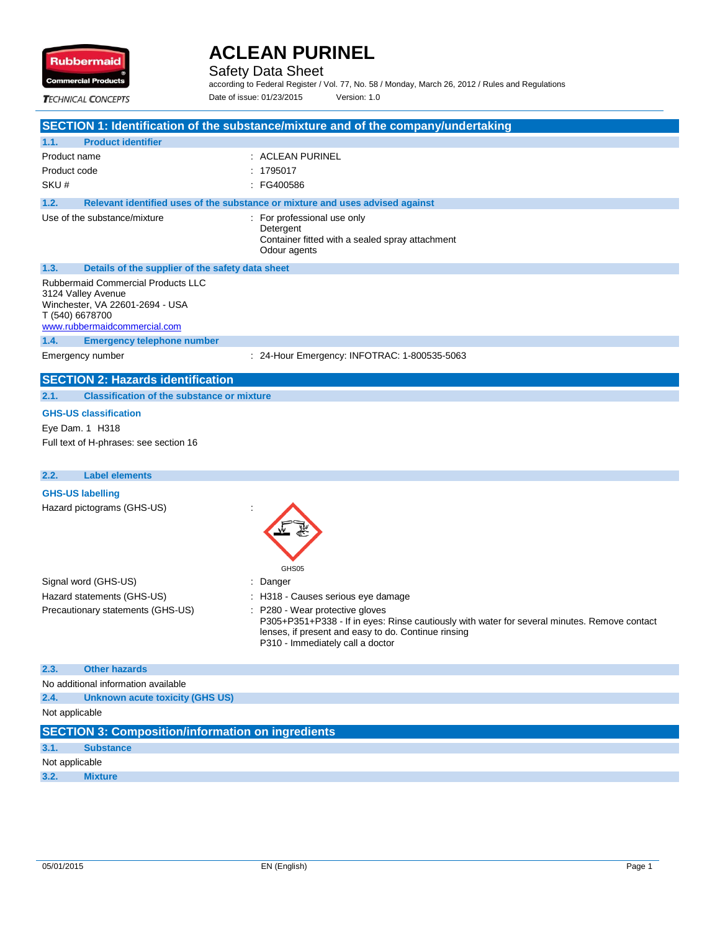

Safety Data Sheet

according to Federal Register / Vol. 77, No. 58 / Monday, March 26, 2012 / Rules and Regulations Date of issue: 01/23/2015 Version: 1.0

**TECHNICAL CONCEPTS** 

|                                                                                                                                                | SECTION 1: Identification of the substance/mixture and of the company/undertaking                                                                                                                                          |
|------------------------------------------------------------------------------------------------------------------------------------------------|----------------------------------------------------------------------------------------------------------------------------------------------------------------------------------------------------------------------------|
| <b>Product identifier</b><br>1.1.                                                                                                              |                                                                                                                                                                                                                            |
| Product name                                                                                                                                   | : ACLEAN PURINEL                                                                                                                                                                                                           |
| Product code                                                                                                                                   | 1795017                                                                                                                                                                                                                    |
| SKU#                                                                                                                                           | : FG400586                                                                                                                                                                                                                 |
| 1.2.                                                                                                                                           | Relevant identified uses of the substance or mixture and uses advised against                                                                                                                                              |
| Use of the substance/mixture                                                                                                                   | : For professional use only<br>Detergent<br>Container fitted with a sealed spray attachment<br>Odour agents                                                                                                                |
| 1.3.<br>Details of the supplier of the safety data sheet                                                                                       |                                                                                                                                                                                                                            |
| Rubbermaid Commercial Products LLC<br>3124 Valley Avenue<br>Winchester, VA 22601-2694 - USA<br>T (540) 6678700<br>www.rubbermaidcommercial.com |                                                                                                                                                                                                                            |
| 1.4.<br><b>Emergency telephone number</b>                                                                                                      |                                                                                                                                                                                                                            |
| Emergency number                                                                                                                               | : 24-Hour Emergency: INFOTRAC: 1-800535-5063                                                                                                                                                                               |
| <b>SECTION 2: Hazards identification</b>                                                                                                       |                                                                                                                                                                                                                            |
| 2.1.<br><b>Classification of the substance or mixture</b>                                                                                      |                                                                                                                                                                                                                            |
| <b>GHS-US classification</b>                                                                                                                   |                                                                                                                                                                                                                            |
| Eye Dam. 1 H318                                                                                                                                |                                                                                                                                                                                                                            |
| Full text of H-phrases: see section 16                                                                                                         |                                                                                                                                                                                                                            |
|                                                                                                                                                |                                                                                                                                                                                                                            |
| <b>Label elements</b><br>2.2.                                                                                                                  |                                                                                                                                                                                                                            |
| <b>GHS-US labelling</b>                                                                                                                        |                                                                                                                                                                                                                            |
| Hazard pictograms (GHS-US)                                                                                                                     | GHS05                                                                                                                                                                                                                      |
| Signal word (GHS-US)                                                                                                                           | Danger                                                                                                                                                                                                                     |
| Hazard statements (GHS-US)                                                                                                                     | : H318 - Causes serious eye damage                                                                                                                                                                                         |
| Precautionary statements (GHS-US)                                                                                                              | : P280 - Wear protective gloves<br>P305+P351+P338 - If in eyes: Rinse cautiously with water for several minutes. Remove contact<br>lenses, if present and easy to do. Continue rinsing<br>P310 - Immediately call a doctor |
| 2.3.<br><b>Other hazards</b>                                                                                                                   |                                                                                                                                                                                                                            |
| No additional information available                                                                                                            |                                                                                                                                                                                                                            |
| 2.4.<br><b>Unknown acute toxicity (GHS US)</b>                                                                                                 |                                                                                                                                                                                                                            |
| Not applicable                                                                                                                                 |                                                                                                                                                                                                                            |
| <b>SECTION 3: Composition/information on ingredients</b>                                                                                       |                                                                                                                                                                                                                            |
| 3.1.<br><b>Substance</b>                                                                                                                       |                                                                                                                                                                                                                            |
| Not applicable                                                                                                                                 |                                                                                                                                                                                                                            |
| 3.2.<br><b>Mixture</b>                                                                                                                         |                                                                                                                                                                                                                            |
|                                                                                                                                                |                                                                                                                                                                                                                            |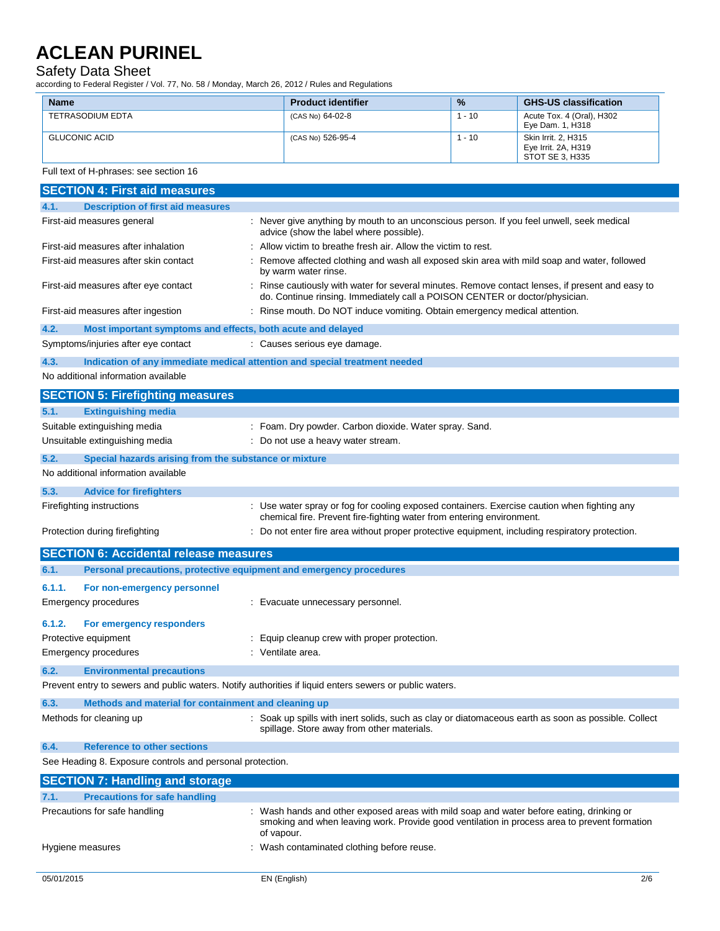#### Safety Data Sheet

according to Federal Register / Vol. 77, No. 58 / Monday, March 26, 2012 / Rules and Regulations

|                                                                                                                                                     |                                                                                                                                                                                                      | %        |                                                           |
|-----------------------------------------------------------------------------------------------------------------------------------------------------|------------------------------------------------------------------------------------------------------------------------------------------------------------------------------------------------------|----------|-----------------------------------------------------------|
| <b>Name</b><br><b>TETRASODIUM EDTA</b>                                                                                                              | <b>Product identifier</b><br>(CAS No) 64-02-8                                                                                                                                                        | $1 - 10$ | <b>GHS-US classification</b><br>Acute Tox. 4 (Oral), H302 |
|                                                                                                                                                     |                                                                                                                                                                                                      |          | Eye Dam. 1, H318                                          |
| <b>GLUCONIC ACID</b>                                                                                                                                | (CAS No) 526-95-4                                                                                                                                                                                    | $1 - 10$ | Skin Irrit. 2, H315                                       |
|                                                                                                                                                     |                                                                                                                                                                                                      |          | Eye Irrit. 2A, H319<br>STOT SE 3, H335                    |
| Full text of H-phrases: see section 16                                                                                                              |                                                                                                                                                                                                      |          |                                                           |
| <b>SECTION 4: First aid measures</b>                                                                                                                |                                                                                                                                                                                                      |          |                                                           |
| <b>Description of first aid measures</b><br>4.1.                                                                                                    |                                                                                                                                                                                                      |          |                                                           |
| First-aid measures general                                                                                                                          | : Never give anything by mouth to an unconscious person. If you feel unwell, seek medical<br>advice (show the label where possible).                                                                 |          |                                                           |
| First-aid measures after inhalation                                                                                                                 | : Allow victim to breathe fresh air. Allow the victim to rest.                                                                                                                                       |          |                                                           |
| First-aid measures after skin contact                                                                                                               | : Remove affected clothing and wash all exposed skin area with mild soap and water, followed<br>by warm water rinse.                                                                                 |          |                                                           |
| First-aid measures after eye contact                                                                                                                | : Rinse cautiously with water for several minutes. Remove contact lenses, if present and easy to<br>do. Continue rinsing. Immediately call a POISON CENTER or doctor/physician.                      |          |                                                           |
| First-aid measures after ingestion                                                                                                                  | : Rinse mouth. Do NOT induce vomiting. Obtain emergency medical attention.                                                                                                                           |          |                                                           |
| 4.2.<br>Most important symptoms and effects, both acute and delayed                                                                                 |                                                                                                                                                                                                      |          |                                                           |
| Symptoms/injuries after eye contact                                                                                                                 | : Causes serious eye damage.                                                                                                                                                                         |          |                                                           |
| 4.3.<br>Indication of any immediate medical attention and special treatment needed                                                                  |                                                                                                                                                                                                      |          |                                                           |
| No additional information available                                                                                                                 |                                                                                                                                                                                                      |          |                                                           |
| <b>SECTION 5: Firefighting measures</b>                                                                                                             |                                                                                                                                                                                                      |          |                                                           |
| <b>Extinguishing media</b><br>5.1.                                                                                                                  |                                                                                                                                                                                                      |          |                                                           |
| Suitable extinguishing media                                                                                                                        | : Foam. Dry powder. Carbon dioxide. Water spray. Sand.                                                                                                                                               |          |                                                           |
| Unsuitable extinguishing media                                                                                                                      | : Do not use a heavy water stream.                                                                                                                                                                   |          |                                                           |
| 5.2.<br>Special hazards arising from the substance or mixture                                                                                       |                                                                                                                                                                                                      |          |                                                           |
| No additional information available                                                                                                                 |                                                                                                                                                                                                      |          |                                                           |
| 5.3.<br><b>Advice for firefighters</b>                                                                                                              |                                                                                                                                                                                                      |          |                                                           |
| Firefighting instructions                                                                                                                           | : Use water spray or fog for cooling exposed containers. Exercise caution when fighting any                                                                                                          |          |                                                           |
|                                                                                                                                                     | chemical fire. Prevent fire-fighting water from entering environment.                                                                                                                                |          |                                                           |
| Protection during firefighting                                                                                                                      | : Do not enter fire area without proper protective equipment, including respiratory protection.                                                                                                      |          |                                                           |
| <b>SECTION 6: Accidental release measures</b>                                                                                                       |                                                                                                                                                                                                      |          |                                                           |
| Personal precautions, protective equipment and emergency procedures<br>6.1.                                                                         |                                                                                                                                                                                                      |          |                                                           |
| 6.1.1.<br>For non-emergency personnel                                                                                                               |                                                                                                                                                                                                      |          |                                                           |
| Emergency procedures                                                                                                                                | : Evacuate unnecessary personnel.                                                                                                                                                                    |          |                                                           |
|                                                                                                                                                     |                                                                                                                                                                                                      |          |                                                           |
| 6.1.2.<br>For emergency responders<br>Protective equipment                                                                                          | Equip cleanup crew with proper protection.                                                                                                                                                           |          |                                                           |
| <b>Emergency procedures</b>                                                                                                                         | : Ventilate area.                                                                                                                                                                                    |          |                                                           |
|                                                                                                                                                     |                                                                                                                                                                                                      |          |                                                           |
| 6.2.<br><b>Environmental precautions</b><br>Prevent entry to sewers and public waters. Notify authorities if liquid enters sewers or public waters. |                                                                                                                                                                                                      |          |                                                           |
|                                                                                                                                                     |                                                                                                                                                                                                      |          |                                                           |
| 6.3.<br>Methods and material for containment and cleaning up                                                                                        |                                                                                                                                                                                                      |          |                                                           |
| Methods for cleaning up                                                                                                                             | : Soak up spills with inert solids, such as clay or diatomaceous earth as soon as possible. Collect<br>spillage. Store away from other materials.                                                    |          |                                                           |
| <b>Reference to other sections</b><br>6.4.                                                                                                          |                                                                                                                                                                                                      |          |                                                           |
| See Heading 8. Exposure controls and personal protection.                                                                                           |                                                                                                                                                                                                      |          |                                                           |
| <b>SECTION 7: Handling and storage</b>                                                                                                              |                                                                                                                                                                                                      |          |                                                           |
| <b>Precautions for safe handling</b><br>7.1.                                                                                                        |                                                                                                                                                                                                      |          |                                                           |
| Precautions for safe handling                                                                                                                       | Wash hands and other exposed areas with mild soap and water before eating, drinking or<br>smoking and when leaving work. Provide good ventilation in process area to prevent formation<br>of vapour. |          |                                                           |
| Hygiene measures                                                                                                                                    | Wash contaminated clothing before reuse.                                                                                                                                                             |          |                                                           |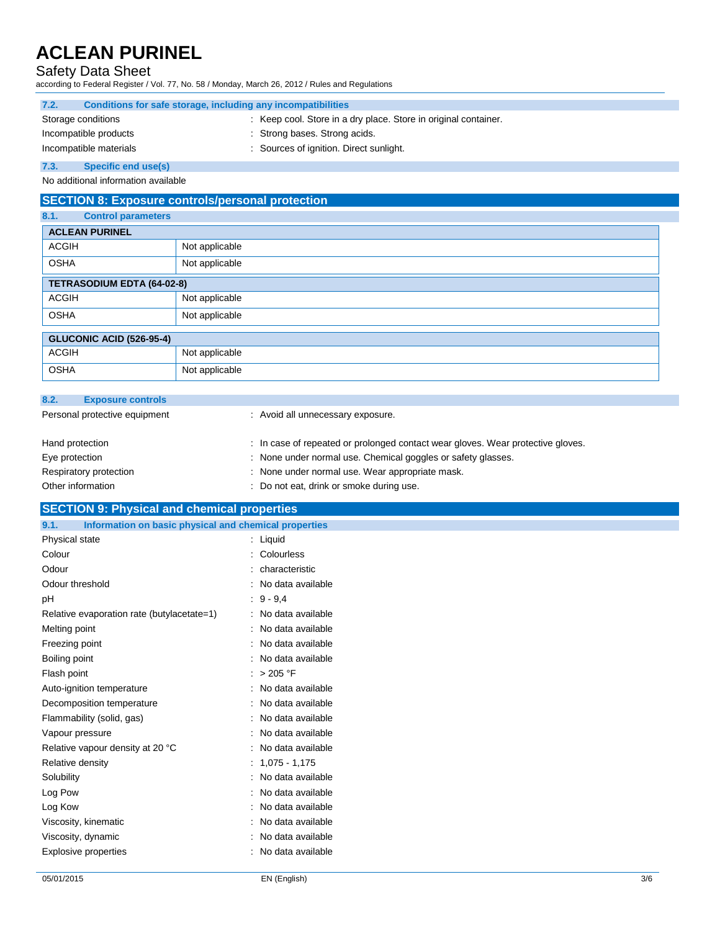### Safety Data Sheet

according to Federal Register / Vol. 77, No. 58 / Monday, March 26, 2012 / Rules and Regulations

| 7.2.               | Conditions for safe storage, including any incompatibilities |                                                                 |
|--------------------|--------------------------------------------------------------|-----------------------------------------------------------------|
| Storage conditions |                                                              | : Keep cool. Store in a dry place. Store in original container. |
|                    | Incompatible products                                        | : Strong bases. Strong acids.                                   |
|                    | Incompatible materials                                       | : Sources of ignition. Direct sunlight.                         |
| 73                 | Specific and usafel                                          |                                                                 |

**7.3. Specific end use(s)**

No additional information available

### **SECTION 8: Exposure controls/personal protection**

| 8.1.<br><b>Control parameters</b> |                                   |  |  |
|-----------------------------------|-----------------------------------|--|--|
| <b>ACLEAN PURINEL</b>             |                                   |  |  |
| <b>ACGIH</b>                      | Not applicable                    |  |  |
| <b>OSHA</b>                       | Not applicable                    |  |  |
|                                   | <b>TETRASODIUM EDTA (64-02-8)</b> |  |  |
| <b>ACGIH</b>                      | Not applicable                    |  |  |
| <b>OSHA</b>                       | Not applicable                    |  |  |
| <b>GLUCONIC ACID (526-95-4)</b>   |                                   |  |  |
| <b>ACGIH</b>                      | Not applicable                    |  |  |
| <b>OSHA</b>                       | Not applicable                    |  |  |

| 8.2. | <b>Exposure controls</b>      |                                                                                 |
|------|-------------------------------|---------------------------------------------------------------------------------|
|      | Personal protective equipment | : Avoid all unnecessary exposure.                                               |
|      | Hand protection               | : In case of repeated or prolonged contact wear gloves. Wear protective gloves. |
|      | Eye protection                | : None under normal use. Chemical goggles or safety glasses.                    |
|      | Respiratory protection        | : None under normal use. Wear appropriate mask.                                 |
|      | Other information             | : Do not eat, drink or smoke during use.                                        |

### **SECTION 9: Physical and chemical properties**

| 9.1.<br>Information on basic physical and chemical properties |                     |
|---------------------------------------------------------------|---------------------|
| Physical state                                                | $:$ Liquid          |
| Colour                                                        | : Colourless        |
| Odour                                                         | : characteristic    |
| Odour threshold                                               | : No data available |
| рH                                                            | $: 9 - 9.4$         |
| Relative evaporation rate (butylacetate=1)                    | : No data available |
| Melting point                                                 | : No data available |
| Freezing point                                                | : No data available |
| Boiling point                                                 | : No data available |
| Flash point                                                   | : $> 205 °F$        |
| Auto-ignition temperature                                     | : No data available |
| Decomposition temperature                                     | : No data available |
| Flammability (solid, gas)                                     | : No data available |
| Vapour pressure                                               | : No data available |
| Relative vapour density at 20 °C                              | : No data available |
| Relative density                                              | $: 1,075 - 1,175$   |
| Solubility                                                    | : No data available |
| Log Pow                                                       | : No data available |
| Log Kow                                                       | : No data available |
| Viscosity, kinematic                                          | : No data available |
| Viscosity, dynamic                                            | : No data available |
| Explosive properties                                          | : No data available |
|                                                               |                     |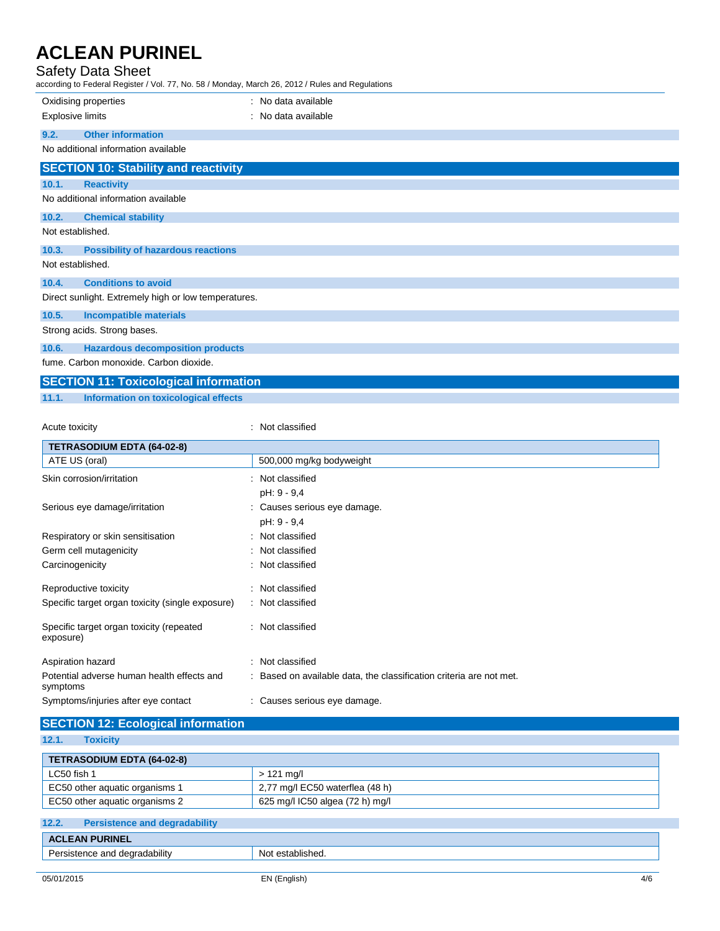### Safety Data Sheet

| according to Federal Register / Vol. 77, No. 58 / Monday, March 26, 2012 / Rules and Regulations |                                             |                     |
|--------------------------------------------------------------------------------------------------|---------------------------------------------|---------------------|
|                                                                                                  | Oxidising properties                        | : No data available |
| <b>Explosive limits</b>                                                                          |                                             | : No data available |
| 9.2.                                                                                             | <b>Other information</b>                    |                     |
|                                                                                                  | No additional information available         |                     |
|                                                                                                  | <b>SECTION 10: Stability and reactivity</b> |                     |
| 10.1.                                                                                            | <b>Reactivity</b>                           |                     |
|                                                                                                  | No additional information available         |                     |
| 10.2.                                                                                            | <b>Chemical stability</b>                   |                     |
| Not established.                                                                                 |                                             |                     |
| 10.3.                                                                                            | <b>Possibility of hazardous reactions</b>   |                     |
|                                                                                                  | Not established.                            |                     |

**10.4. Conditions to avoid**

Direct sunlight. Extremely high or low temperatures.

#### **10.5. Incompatible materials**

Strong acids. Strong bases.

### **10.6. Hazardous decomposition products**

fume. Carbon monoxide. Carbon dioxide.

### **SECTION 11: Toxicological information**

**11.1. Information on toxicological effects**

#### Acute toxicity **in the case of the contract of the contract of the contract of the contract of the contract of the contract of the contract of the contract of the contract of the contract of the contract of the contract of**

| <b>TETRASODIUM EDTA (64-02-8)</b>                      |                                                                     |
|--------------------------------------------------------|---------------------------------------------------------------------|
| ATE US (oral)                                          | 500,000 mg/kg bodyweight                                            |
| Skin corrosion/irritation                              | : Not classified                                                    |
|                                                        | pH: 9 - 9,4                                                         |
| Serious eye damage/irritation                          | : Causes serious eye damage.                                        |
|                                                        | pH: 9 - 9,4                                                         |
| Respiratory or skin sensitisation                      | : Not classified                                                    |
| Germ cell mutagenicity                                 | : Not classified                                                    |
| Carcinogenicity                                        | : Not classified                                                    |
| Reproductive toxicity                                  | : Not classified                                                    |
| Specific target organ toxicity (single exposure)       | : Not classified                                                    |
| Specific target organ toxicity (repeated<br>exposure)  | : Not classified                                                    |
|                                                        |                                                                     |
| Aspiration hazard                                      | : Not classified                                                    |
| Potential adverse human health effects and<br>symptoms | : Based on available data, the classification criteria are not met. |
| Symptoms/injuries after eye contact                    | : Causes serious eye damage.                                        |
| <b>SECTION 12: Ecological information</b>              |                                                                     |

#### **12.1. Toxicity**

| .<br>$\sim$                                   |                                 |  |
|-----------------------------------------------|---------------------------------|--|
| <b>TETRASODIUM EDTA (64-02-8)</b>             |                                 |  |
| LC50 fish 1                                   | $>121$ mg/l                     |  |
| EC50 other aquatic organisms 1                | 2,77 mg/l EC50 waterflea (48 h) |  |
| EC50 other aquatic organisms 2                | 625 mg/l IC50 algea (72 h) mg/l |  |
|                                               |                                 |  |
| 12.2.<br><b>Persistence and degradability</b> |                                 |  |

### **ACLEAN PURINEL** Persistence and degradability Not established.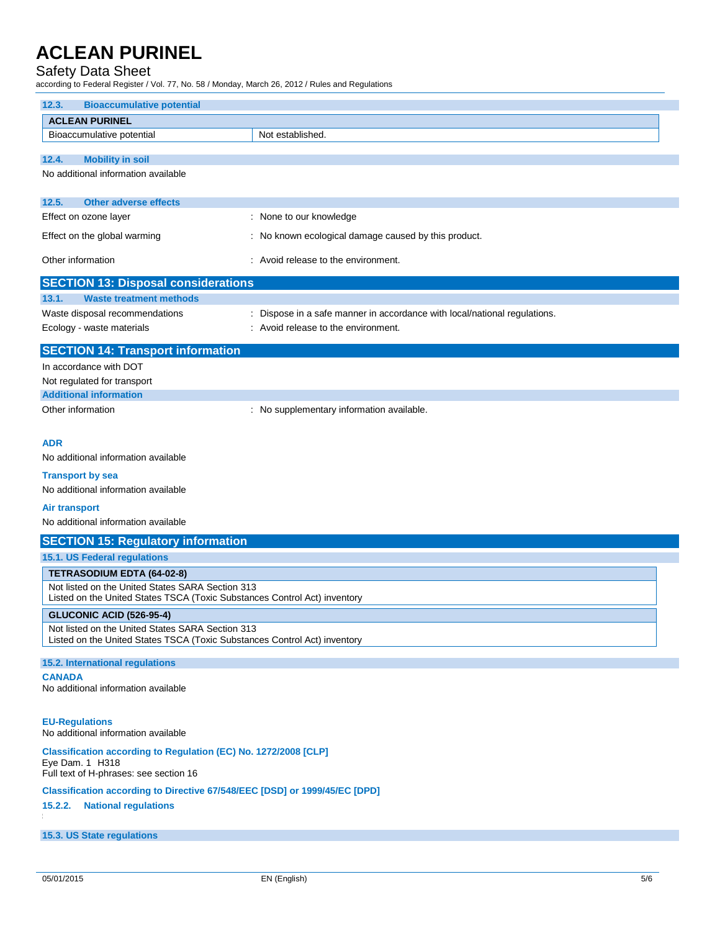#### Safety Data Sheet

according to Federal Register / Vol. 77, No. 58 / Monday, March 26, 2012 / Rules and Regulations

| according to Federal Register / Vol. 77, No. 58 / Monday, March 26, 2012 / Rules and Regulations                              |                                                                           |  |
|-------------------------------------------------------------------------------------------------------------------------------|---------------------------------------------------------------------------|--|
| <b>Bioaccumulative potential</b><br>12.3.                                                                                     |                                                                           |  |
| <b>ACLEAN PURINEL</b>                                                                                                         |                                                                           |  |
| Bioaccumulative potential                                                                                                     | Not established.                                                          |  |
| 12.4.<br><b>Mobility in soil</b>                                                                                              |                                                                           |  |
| No additional information available                                                                                           |                                                                           |  |
|                                                                                                                               |                                                                           |  |
| 12.5.<br><b>Other adverse effects</b>                                                                                         |                                                                           |  |
| Effect on ozone layer                                                                                                         | : None to our knowledge                                                   |  |
| Effect on the global warming                                                                                                  | : No known ecological damage caused by this product.                      |  |
| Other information                                                                                                             | : Avoid release to the environment.                                       |  |
| <b>SECTION 13: Disposal considerations</b>                                                                                    |                                                                           |  |
| 13.1.<br><b>Waste treatment methods</b>                                                                                       |                                                                           |  |
| Waste disposal recommendations                                                                                                | : Dispose in a safe manner in accordance with local/national regulations. |  |
| Ecology - waste materials                                                                                                     | : Avoid release to the environment.                                       |  |
| <b>SECTION 14: Transport information</b>                                                                                      |                                                                           |  |
| In accordance with DOT                                                                                                        |                                                                           |  |
| Not regulated for transport                                                                                                   |                                                                           |  |
| <b>Additional information</b>                                                                                                 |                                                                           |  |
| Other information                                                                                                             | : No supplementary information available.                                 |  |
|                                                                                                                               |                                                                           |  |
| <b>ADR</b><br>No additional information available                                                                             |                                                                           |  |
|                                                                                                                               |                                                                           |  |
| <b>Transport by sea</b><br>No additional information available                                                                |                                                                           |  |
|                                                                                                                               |                                                                           |  |
| <b>Air transport</b><br>No additional information available                                                                   |                                                                           |  |
| <b>SECTION 15: Regulatory information</b>                                                                                     |                                                                           |  |
| 15.1. US Federal regulations                                                                                                  |                                                                           |  |
| <b>TETRASODIUM EDTA (64-02-8)</b>                                                                                             |                                                                           |  |
| Not listed on the United States SARA Section 313                                                                              |                                                                           |  |
| Listed on the United States TSCA (Toxic Substances Control Act) inventory                                                     |                                                                           |  |
| GLUCONIC ACID (526-95-4)                                                                                                      |                                                                           |  |
| Not listed on the United States SARA Section 313<br>Listed on the United States TSCA (Toxic Substances Control Act) inventory |                                                                           |  |
|                                                                                                                               |                                                                           |  |
| 15.2. International regulations                                                                                               |                                                                           |  |
| <b>CANADA</b><br>No additional information available                                                                          |                                                                           |  |
|                                                                                                                               |                                                                           |  |
| <b>EU-Regulations</b><br>No additional information available                                                                  |                                                                           |  |
| Classification according to Regulation (EC) No. 1272/2008 [CLP]                                                               |                                                                           |  |
| Eye Dam. 1 H318<br>Full text of H-phrases: see section 16                                                                     |                                                                           |  |
| Classification according to Directive 67/548/EEC [DSD] or 1999/45/EC [DPD]                                                    |                                                                           |  |
| <b>National regulations</b><br>15.2.2.                                                                                        |                                                                           |  |
| 15.3. US State regulations                                                                                                    |                                                                           |  |